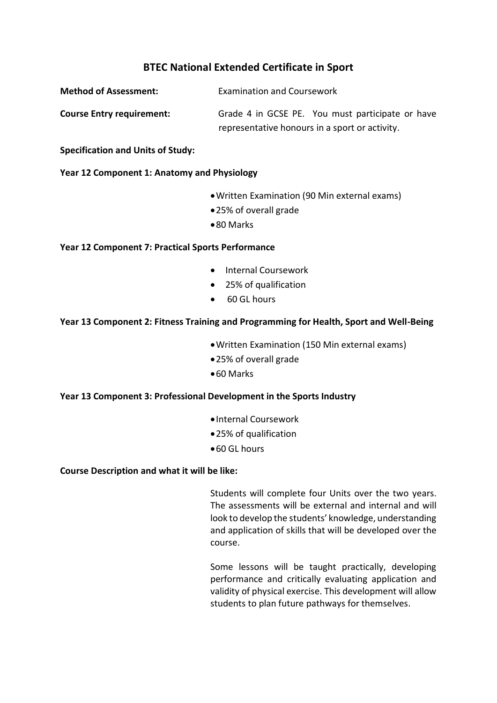# **BTEC National Extended Certificate in Sport**

| <b>Method of Assessment:</b>     | <b>Examination and Coursework</b>              |                                                  |
|----------------------------------|------------------------------------------------|--------------------------------------------------|
| <b>Course Entry requirement:</b> |                                                | Grade 4 in GCSE PE. You must participate or have |
|                                  | representative honours in a sport or activity. |                                                  |

**Specification and Units of Study:**

## **Year 12 Component 1: Anatomy and Physiology**

- Written Examination (90 Min external exams)
- 25% of overall grade
- 80 Marks

## **Year 12 Component 7: Practical Sports Performance**

- Internal Coursework
- 25% of qualification
- 60 GL hours

## **Year 13 Component 2: Fitness Training and Programming for Health, Sport and Well-Being**

- Written Examination (150 Min external exams)
- 25% of overall grade
- 60 Marks

#### **Year 13 Component 3: Professional Development in the Sports Industry**

- Internal Coursework
- 25% of qualification
- 60 GL hours

#### **Course Description and what it will be like:**

Students will complete four Units over the two years. The assessments will be external and internal and will look to develop the students' knowledge, understanding and application of skills that will be developed over the course.

Some lessons will be taught practically, developing performance and critically evaluating application and validity of physical exercise. This development will allow students to plan future pathways for themselves.